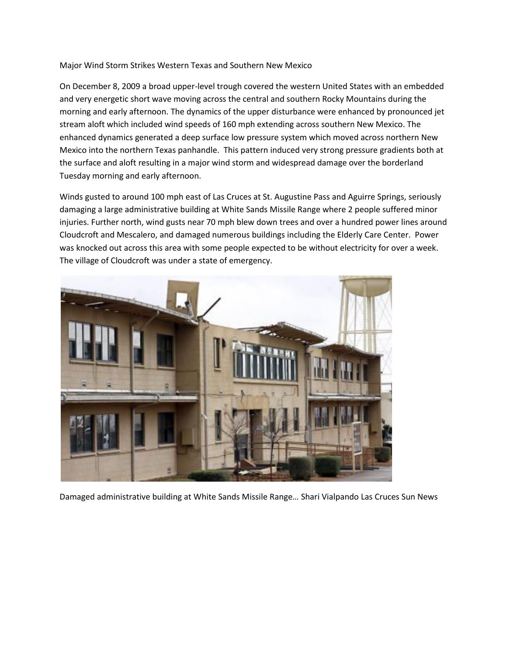## Major Wind Storm Strikes Western Texas and Southern New Mexico

On December 8, 2009 a broad upper-level trough covered the western United States with an embedded and very energetic short wave moving across the central and southern Rocky Mountains during the morning and early afternoon. The dynamics of the upper disturbance were enhanced by pronounced jet stream aloft which included wind speeds of 160 mph extending across southern New Mexico. The enhanced dynamics generated a deep surface low pressure system which moved across northern New Mexico into the northern Texas panhandle. This pattern induced very strong pressure gradients both at the surface and aloft resulting in a major wind storm and widespread damage over the borderland Tuesday morning and early afternoon.

Winds gusted to around 100 mph east of Las Cruces at St. Augustine Pass and Aguirre Springs, seriously damaging a large administrative building at White Sands Missile Range where 2 people suffered minor injuries. Further north, wind gusts near 70 mph blew down trees and over a hundred power lines around Cloudcroft and Mescalero, and damaged numerous buildings including the Elderly Care Center. Power was knocked out across this area with some people expected to be without electricity for over a week. The village of Cloudcroft was under a state of emergency.



Damaged administrative building at White Sands Missile Range… Shari Vialpando Las Cruces Sun News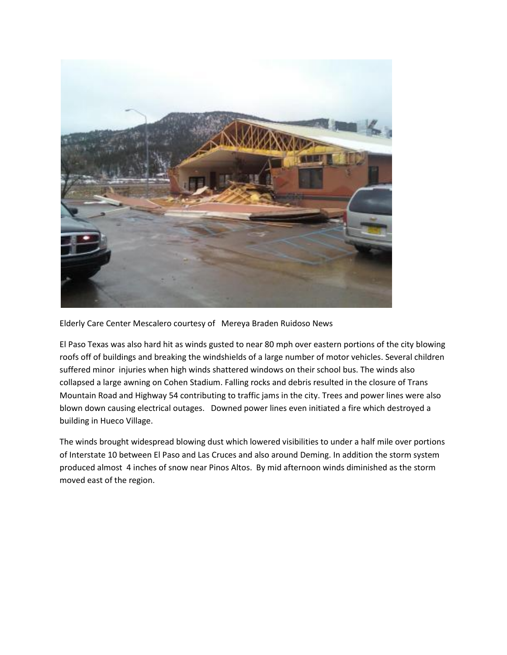

Elderly Care Center Mescalero courtesy of Mereya Braden Ruidoso News

El Paso Texas was also hard hit as winds gusted to near 80 mph over eastern portions of the city blowing roofs off of buildings and breaking the windshields of a large number of motor vehicles. Several children suffered minor injuries when high winds shattered windows on their school bus. The winds also collapsed a large awning on Cohen Stadium. Falling rocks and debris resulted in the closure of Trans Mountain Road and Highway 54 contributing to traffic jams in the city. Trees and power lines were also blown down causing electrical outages. Downed power lines even initiated a fire which destroyed a building in Hueco Village.

The winds brought widespread blowing dust which lowered visibilities to under a half mile over portions of Interstate 10 between El Paso and Las Cruces and also around Deming. In addition the storm system produced almost 4 inches of snow near Pinos Altos. By mid afternoon winds diminished as the storm moved east of the region.